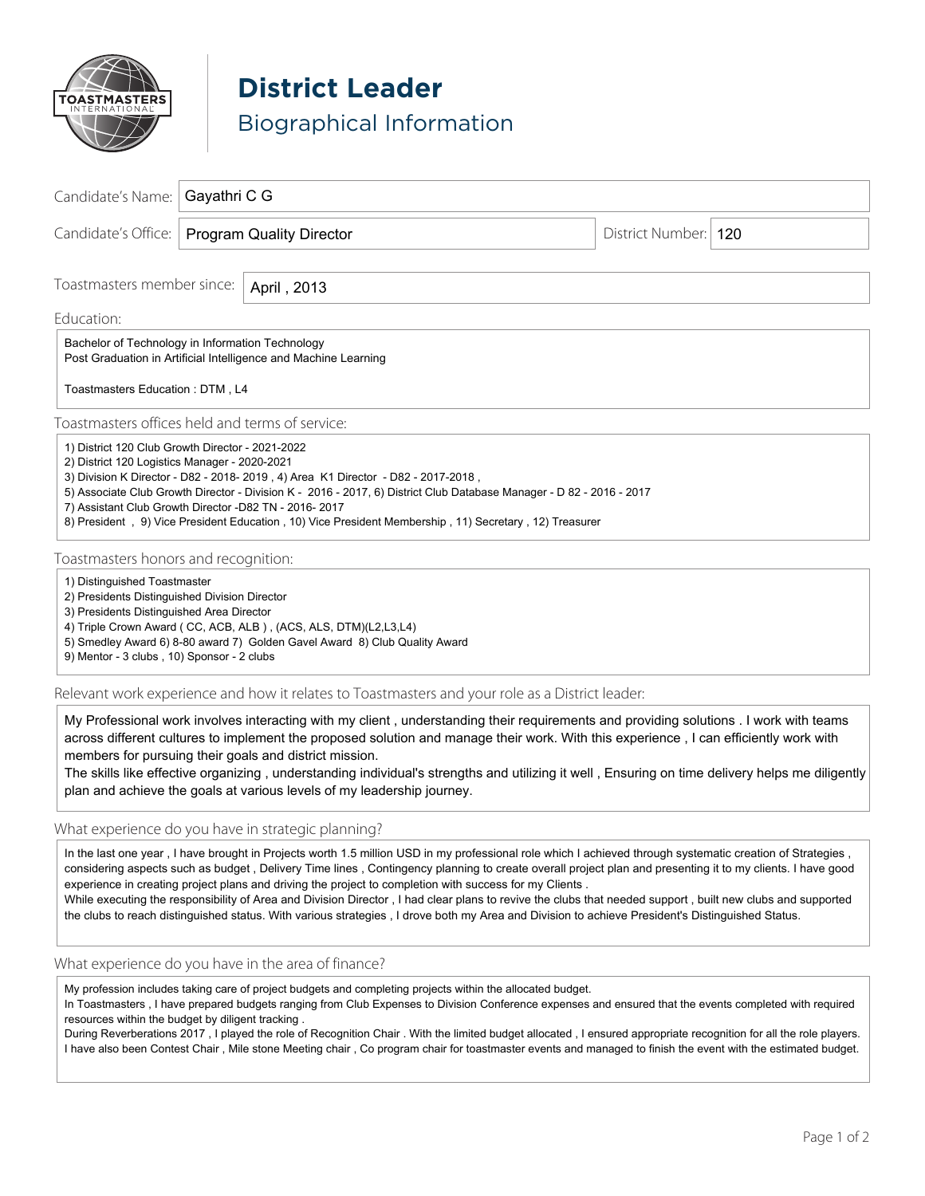

**District Leader** Biographical Information

| Candidate's Name:                                                                                                                                                                                                                                                                                                                                                                                                                                                                 | Gayathri C G                    |  |                        |  |
|-----------------------------------------------------------------------------------------------------------------------------------------------------------------------------------------------------------------------------------------------------------------------------------------------------------------------------------------------------------------------------------------------------------------------------------------------------------------------------------|---------------------------------|--|------------------------|--|
| Candidate's Office:                                                                                                                                                                                                                                                                                                                                                                                                                                                               | <b>Program Quality Director</b> |  | District Number:   120 |  |
| Toastmasters member since:<br>April, 2013                                                                                                                                                                                                                                                                                                                                                                                                                                         |                                 |  |                        |  |
| Education:                                                                                                                                                                                                                                                                                                                                                                                                                                                                        |                                 |  |                        |  |
| Bachelor of Technology in Information Technology<br>Post Graduation in Artificial Intelligence and Machine Learning                                                                                                                                                                                                                                                                                                                                                               |                                 |  |                        |  |
| Toastmasters Education: DTM, L4                                                                                                                                                                                                                                                                                                                                                                                                                                                   |                                 |  |                        |  |
| Toastmasters offices held and terms of service:                                                                                                                                                                                                                                                                                                                                                                                                                                   |                                 |  |                        |  |
| 1) District 120 Club Growth Director - 2021-2022<br>2) District 120 Logistics Manager - 2020-2021<br>3) Division K Director - D82 - 2018- 2019, 4) Area K1 Director - D82 - 2017-2018,<br>5) Associate Club Growth Director - Division K - 2016 - 2017, 6) District Club Database Manager - D 82 - 2016 - 2017<br>7) Assistant Club Growth Director -D82 TN - 2016-2017<br>8) President, 9) Vice President Education, 10) Vice President Membership, 11) Secretary, 12) Treasurer |                                 |  |                        |  |
| Toastmasters honors and recognition:                                                                                                                                                                                                                                                                                                                                                                                                                                              |                                 |  |                        |  |
| 1) Distinguished Toastmaster<br>2) Presidents Distinguished Division Director<br>3) Presidents Distinguished Area Director<br>4) Triple Crown Award (CC, ACB, ALB), (ACS, ALS, DTM)(L2,L3,L4)<br>5) Smedley Award 6) 8-80 award 7) Golden Gavel Award 8) Club Quality Award<br>9) Mentor - 3 clubs, 10) Sponsor - 2 clubs                                                                                                                                                         |                                 |  |                        |  |
| Relevant work experience and how it relates to Toastmasters and your role as a District leader:                                                                                                                                                                                                                                                                                                                                                                                   |                                 |  |                        |  |
| My Professional work involves interacting with my client, understanding their requirements and providing solutions. I work with teams<br>across different cultures to implement the proposed solution and manage their work. With this experience, I can efficiently work with<br>members for pursuing their goals and district mission.                                                                                                                                          |                                 |  |                        |  |

The skills like effective organizing , understanding individual's strengths and utilizing it well , Ensuring on time delivery helps me diligently plan and achieve the goals at various levels of my leadership journey.

# What experience do you have in strategic planning?

In the last one year, I have brought in Projects worth 1.5 million USD in my professional role which I achieved through systematic creation of Strategies, considering aspects such as budget , Delivery Time lines , Contingency planning to create overall project plan and presenting it to my clients. I have good experience in creating project plans and driving the project to completion with success for my Clients .

While executing the responsibility of Area and Division Director, I had clear plans to revive the clubs that needed support, built new clubs and supported the clubs to reach distinguished status. With various strategies , I drove both my Area and Division to achieve President's Distinguished Status.

### What experience do you have in the area of finance?

My profession includes taking care of project budgets and completing projects within the allocated budget.

In Toastmasters , I have prepared budgets ranging from Club Expenses to Division Conference expenses and ensured that the events completed with required resources within the budget by diligent tracking .

During Reverberations 2017 , I played the role of Recognition Chair . With the limited budget allocated , I ensured appropriate recognition for all the role players. I have also been Contest Chair , Mile stone Meeting chair , Co program chair for toastmaster events and managed to finish the event with the estimated budget.